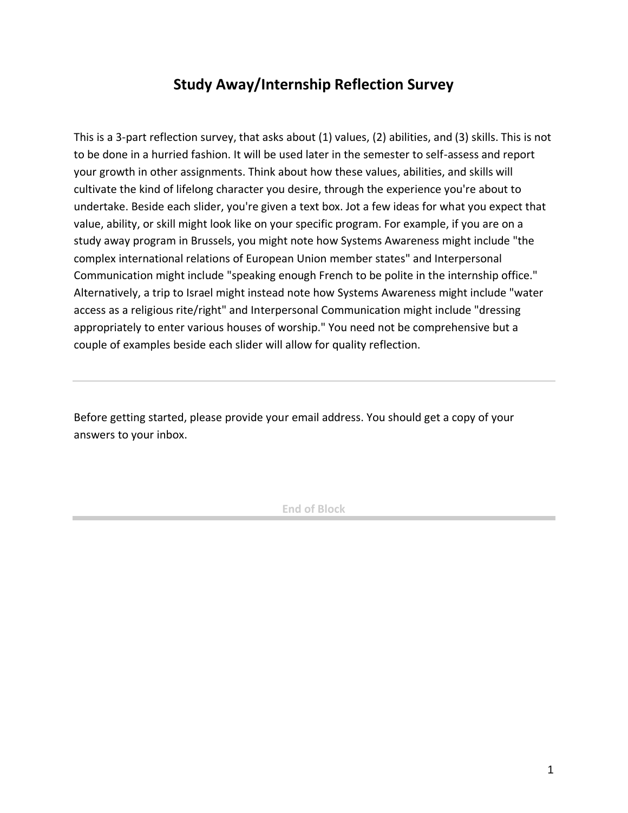## **Study Away/Internship Reflection Survey**

This is a 3-part reflection survey, that asks about (1) values, (2) abilities, and (3) skills. This is not to be done in a hurried fashion. It will be used later in the semester to self-assess and report your growth in other assignments. Think about how these values, abilities, and skills will cultivate the kind of lifelong character you desire, through the experience you're about to undertake. Beside each slider, you're given a text box. Jot a few ideas for what you expect that value, ability, or skill might look like on your specific program. For example, if you are on a study away program in Brussels, you might note how Systems Awareness might include "the complex international relations of European Union member states" and Interpersonal Communication might include "speaking enough French to be polite in the internship office." Alternatively, a trip to Israel might instead note how Systems Awareness might include "water access as a religious rite/right" and Interpersonal Communication might include "dressing appropriately to enter various houses of worship." You need not be comprehensive but a couple of examples beside each slider will allow for quality reflection.

Before getting started, please provide your email address. You should get a copy of your answers to your inbox.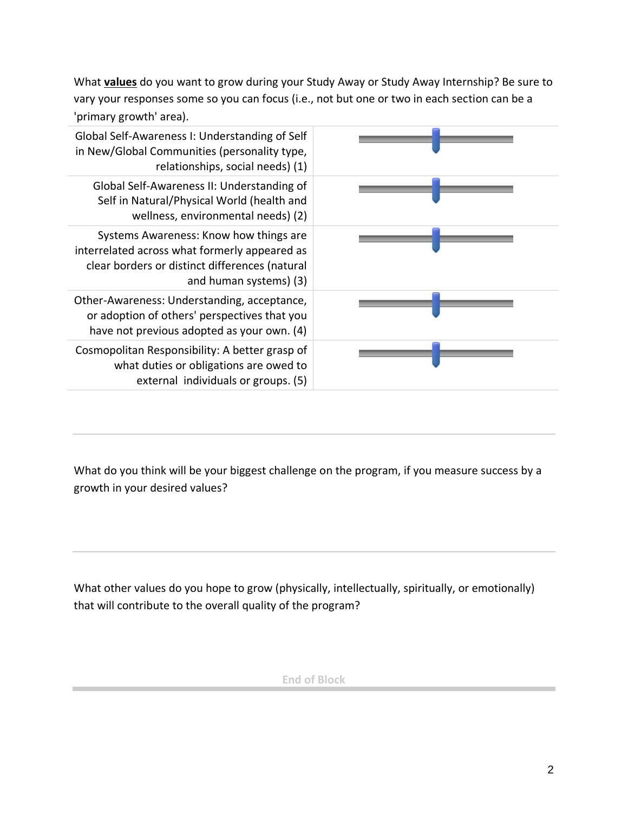What **values** do you want to grow during your Study Away or Study Away Internship? Be sure to vary your responses some so you can focus (i.e., not but one or two in each section can be a 'primary growth' area).

| Global Self-Awareness I: Understanding of Self<br>in New/Global Communities (personality type,<br>relationships, social needs) (1)                                  |  |
|---------------------------------------------------------------------------------------------------------------------------------------------------------------------|--|
| Global Self-Awareness II: Understanding of<br>Self in Natural/Physical World (health and<br>wellness, environmental needs) (2)                                      |  |
| Systems Awareness: Know how things are<br>interrelated across what formerly appeared as<br>clear borders or distinct differences (natural<br>and human systems) (3) |  |
| Other-Awareness: Understanding, acceptance,<br>or adoption of others' perspectives that you<br>have not previous adopted as your own. (4)                           |  |
| Cosmopolitan Responsibility: A better grasp of<br>what duties or obligations are owed to<br>external individuals or groups. (5)                                     |  |

What do you think will be your biggest challenge on the program, if you measure success by a growth in your desired values?

What other values do you hope to grow (physically, intellectually, spiritually, or emotionally) that will contribute to the overall quality of the program?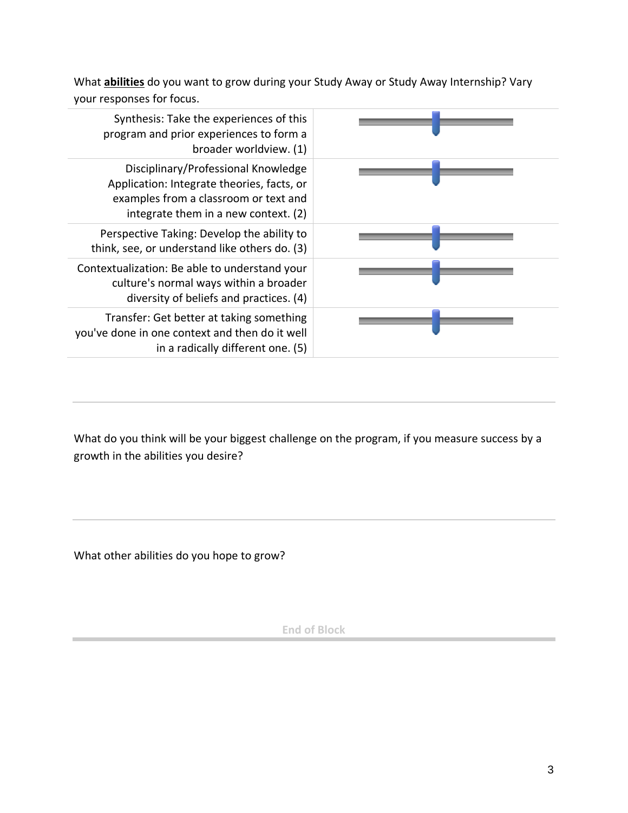What **abilities** do you want to grow during your Study Away or Study Away Internship? Vary your responses for focus.

| Synthesis: Take the experiences of this<br>program and prior experiences to form a<br>broader worldview. (1)                                                       |  |
|--------------------------------------------------------------------------------------------------------------------------------------------------------------------|--|
| Disciplinary/Professional Knowledge<br>Application: Integrate theories, facts, or<br>examples from a classroom or text and<br>integrate them in a new context. (2) |  |
| Perspective Taking: Develop the ability to<br>think, see, or understand like others do. (3)                                                                        |  |
| Contextualization: Be able to understand your<br>culture's normal ways within a broader<br>diversity of beliefs and practices. (4)                                 |  |
| Transfer: Get better at taking something<br>you've done in one context and then do it well<br>in a radically different one. (5)                                    |  |

What do you think will be your biggest challenge on the program, if you measure success by a growth in the abilities you desire?

What other abilities do you hope to grow?